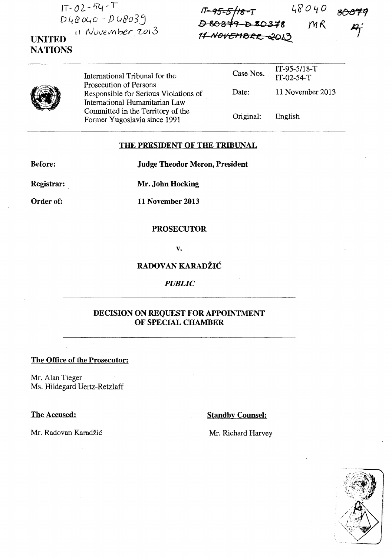**fT** - *02* - be, -<sup>T</sup>  $D48040 - D48039$ **UNITED**  11 November 2013

 $48040$  $M\mathcal{R}$ 



**NATIONS** 

International Tribunal for the Prosecution of Persons Responsible for Serious Violations of International Humanitarian Law Committed in the Territory of the Fonner Yugoslavia since 1991 Case Nos. Date: Original: IT -95-5/18-T IT-02-54-T 11 November 2013 English

### **THE PRESIDENT OF THE TRIBUNAL**

**Before: Judge Theodor Meron, President** 

**Registrar: Mr. John Hocking** 

**Order of: 11 November 2013** 

### **PROSECUTOR**

**v.** 

# **RADOVAN KARADŽIĆ**

### *PUBLIC*

# **DECISION ON REQUEST FOR APPOINTMENT OF SPECIAL CHAMBER**

#### **The Office of the Prosecutor:**

Mr. Alan Tieger Ms. Hildegard Uertz-Retzlaff

## **The Accused: Standby Counsel: Standby Counsel:**



Mr. Radovan Karadžić Mr. Richard Harvey